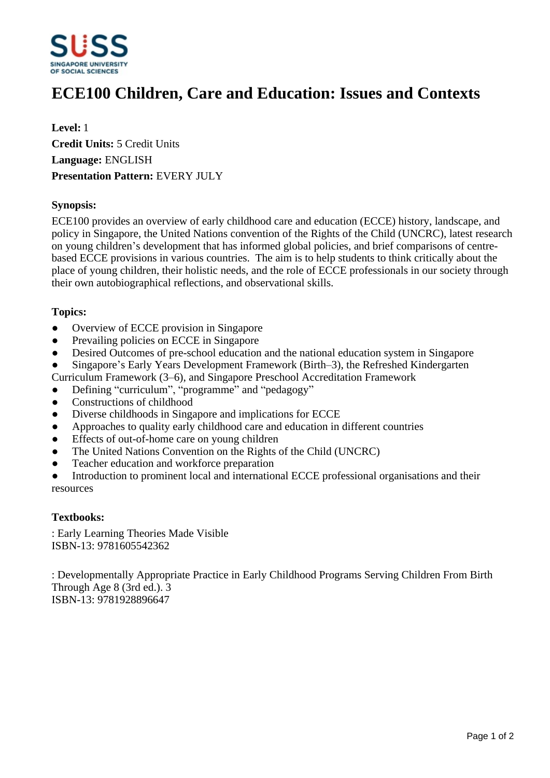

# **ECE100 Children, Care and Education: Issues and Contexts**

**Level:** 1 **Credit Units:** 5 Credit Units **Language:** ENGLISH **Presentation Pattern:** EVERY JULY

# **Synopsis:**

ECE100 provides an overview of early childhood care and education (ECCE) history, landscape, and policy in Singapore, the United Nations convention of the Rights of the Child (UNCRC), latest research on young children's development that has informed global policies, and brief comparisons of centrebased ECCE provisions in various countries. The aim is to help students to think critically about the place of young children, their holistic needs, and the role of ECCE professionals in our society through their own autobiographical reflections, and observational skills.

# **Topics:**

- Overview of ECCE provision in Singapore
- Prevailing policies on ECCE in Singapore
- Desired Outcomes of pre-school education and the national education system in Singapore
- Singapore's Early Years Development Framework (Birth–3), the Refreshed Kindergarten
- Curriculum Framework (3–6), and Singapore Preschool Accreditation Framework
- Defining "curriculum", "programme" and "pedagogy"
- Constructions of childhood
- Diverse childhoods in Singapore and implications for ECCE
- Approaches to quality early childhood care and education in different countries
- Effects of out-of-home care on young children
- The United Nations Convention on the Rights of the Child (UNCRC)
- Teacher education and workforce preparation
- Introduction to prominent local and international ECCE professional organisations and their resources

#### **Textbooks:**

: Early Learning Theories Made Visible ISBN-13: 9781605542362

: Developmentally Appropriate Practice in Early Childhood Programs Serving Children From Birth Through Age 8 (3rd ed.). 3 ISBN-13: 9781928896647